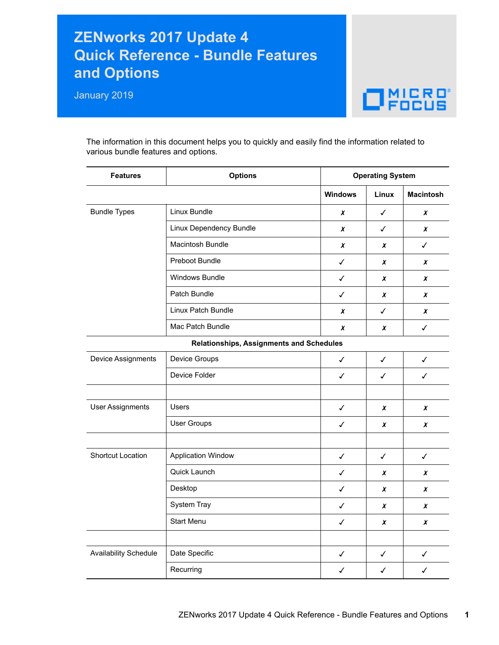## **ZENworks 2017 Update 4 Quick Reference - Bundle Features and Options**

January 2019



The information in this document helps you to quickly and easily find the information related to various bundle features and options.

| <b>Features</b>         | <b>Options</b>                           | <b>Operating System</b> |              |                  |  |
|-------------------------|------------------------------------------|-------------------------|--------------|------------------|--|
|                         |                                          | <b>Windows</b>          | Linux        | <b>Macintosh</b> |  |
| <b>Bundle Types</b>     | Linux Bundle                             | x                       | $\checkmark$ | x                |  |
|                         | Linux Dependency Bundle                  | x                       | $\checkmark$ | x                |  |
|                         | Macintosh Bundle                         | x                       | X            | $\checkmark$     |  |
|                         | Preboot Bundle                           | $\checkmark$            | x            | x                |  |
|                         | Windows Bundle                           | $\checkmark$            | x            | x                |  |
|                         | Patch Bundle                             | $\checkmark$            | x            | x                |  |
|                         | Linux Patch Bundle                       | x                       | $\checkmark$ | x                |  |
|                         | Mac Patch Bundle                         | x                       | x            | ✓                |  |
|                         | Relationships, Assignments and Schedules |                         |              |                  |  |
| Device Assignments      | Device Groups                            | ✓                       | $\checkmark$ | ✓                |  |
|                         | Device Folder                            | $\checkmark$            | $\checkmark$ | ✓                |  |
|                         |                                          |                         |              |                  |  |
| <b>User Assignments</b> | <b>Users</b>                             | $\checkmark$            | x            | X                |  |
|                         | <b>User Groups</b>                       | $\checkmark$            | x            | X                |  |
|                         |                                          |                         |              |                  |  |
| Shortcut Location       | <b>Application Window</b>                | $\checkmark$            | $\checkmark$ | $\checkmark$     |  |
|                         | Quick Launch                             | $\checkmark$            | x            | X                |  |
|                         | Desktop                                  | $\checkmark$            | x            | x                |  |
|                         | System Tray                              | ✓                       | x            | x                |  |
|                         | Start Menu                               | ✓                       | x            | x                |  |
|                         |                                          |                         |              |                  |  |
| Availability Schedule   | Date Specific                            | ✓                       | $\checkmark$ | ✓                |  |
|                         | Recurring                                | ✓                       | ✓            | ✓                |  |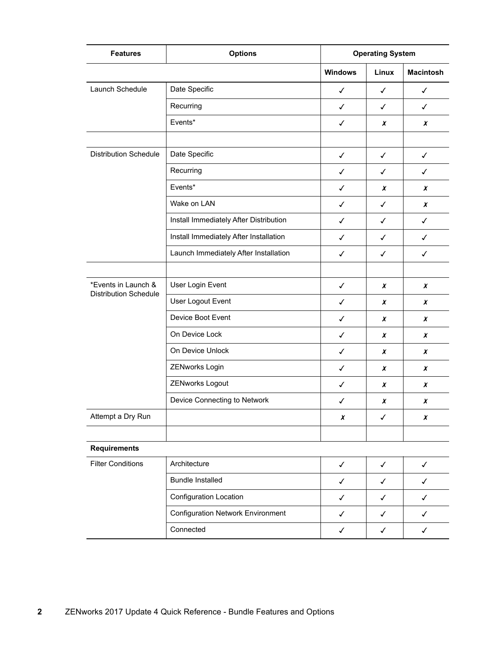| <b>Features</b>                                     | <b>Options</b>                           |                | <b>Operating System</b> |                  |  |
|-----------------------------------------------------|------------------------------------------|----------------|-------------------------|------------------|--|
|                                                     |                                          | <b>Windows</b> | Linux                   | <b>Macintosh</b> |  |
| Launch Schedule                                     | Date Specific                            | $\checkmark$   | ✓                       | ✓                |  |
|                                                     | Recurring                                | $\checkmark$   | $\checkmark$            | $\checkmark$     |  |
|                                                     | Events*                                  | $\checkmark$   | X                       | $\boldsymbol{x}$ |  |
|                                                     |                                          |                |                         |                  |  |
| <b>Distribution Schedule</b>                        | Date Specific                            | $\checkmark$   | $\checkmark$            | $\checkmark$     |  |
|                                                     | Recurring                                | $\checkmark$   | ✓                       | ✓                |  |
|                                                     | Events*                                  | ✓              | X                       | $\boldsymbol{x}$ |  |
|                                                     | Wake on LAN                              | $\checkmark$   | $\checkmark$            | $\boldsymbol{x}$ |  |
|                                                     | Install Immediately After Distribution   | ✓              | ✓                       | $\checkmark$     |  |
|                                                     | Install Immediately After Installation   | $\checkmark$   | ✓                       | $\checkmark$     |  |
|                                                     | Launch Immediately After Installation    | $\checkmark$   | $\checkmark$            | ✓                |  |
|                                                     |                                          |                |                         |                  |  |
| *Events in Launch &<br><b>Distribution Schedule</b> | User Login Event                         | $\checkmark$   | X                       | $\boldsymbol{x}$ |  |
|                                                     | User Logout Event                        | $\checkmark$   | X                       | X                |  |
|                                                     | Device Boot Event                        | $\checkmark$   | X                       | $\boldsymbol{x}$ |  |
|                                                     | On Device Lock                           | $\checkmark$   | $\pmb{\chi}$            | $\boldsymbol{x}$ |  |
|                                                     | On Device Unlock                         | ✓              | X                       | $\boldsymbol{x}$ |  |
|                                                     | ZENworks Login                           | ✓              | X                       | X                |  |
|                                                     | ZENworks Logout                          | $\checkmark$   | $\boldsymbol{x}$        | $\boldsymbol{x}$ |  |
|                                                     | Device Connecting to Network             | ✓              | X                       | X                |  |
| Attempt a Dry Run                                   |                                          | X              | ✓                       | X                |  |
|                                                     |                                          |                |                         |                  |  |
| <b>Requirements</b>                                 |                                          |                |                         |                  |  |
| <b>Filter Conditions</b>                            | Architecture                             | $\checkmark$   | $\checkmark$            | $\checkmark$     |  |
|                                                     | <b>Bundle Installed</b>                  | $\checkmark$   | $\checkmark$            | ✓                |  |
|                                                     | Configuration Location                   | $\checkmark$   | $\checkmark$            | $\checkmark$     |  |
|                                                     | <b>Configuration Network Environment</b> | ✓              | ✓                       | ✓                |  |
|                                                     | Connected                                | $\checkmark$   | ✓                       | $\checkmark$     |  |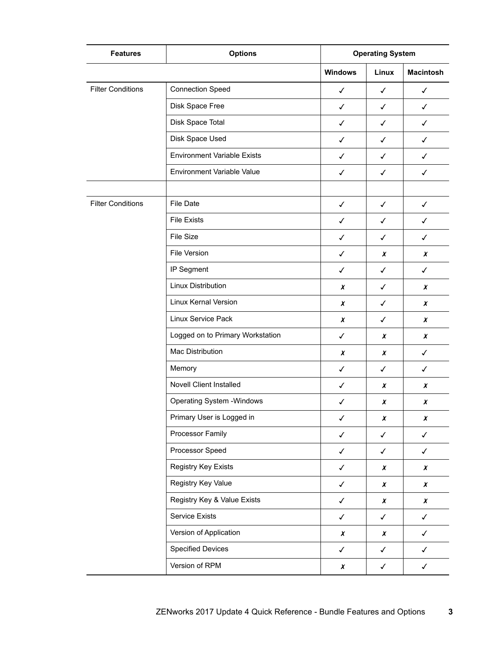| <b>Features</b>          | <b>Options</b>                     | <b>Operating System</b> |                  |                  |
|--------------------------|------------------------------------|-------------------------|------------------|------------------|
|                          |                                    | <b>Windows</b>          | Linux            | <b>Macintosh</b> |
| <b>Filter Conditions</b> | <b>Connection Speed</b>            | $\checkmark$            | ✓                | $\checkmark$     |
|                          | Disk Space Free                    | $\checkmark$            | $\checkmark$     | $\checkmark$     |
|                          | Disk Space Total                   | $\checkmark$            | ✓                | ✓                |
|                          | Disk Space Used                    | ✓                       | ✓                | ✓                |
|                          | <b>Environment Variable Exists</b> | $\checkmark$            | ✓                | $\checkmark$     |
|                          | Environment Variable Value         | $\checkmark$            | $\checkmark$     | $\checkmark$     |
|                          |                                    |                         |                  |                  |
| <b>Filter Conditions</b> | File Date                          | $\checkmark$            | $\checkmark$     | $\checkmark$     |
|                          | <b>File Exists</b>                 | $\checkmark$            | ✓                | ✓                |
|                          | File Size                          | ✓                       | ✓                | $\checkmark$     |
|                          | File Version                       | $\checkmark$            | x                | X                |
|                          | IP Segment                         | $\checkmark$            | $\checkmark$     | $\checkmark$     |
|                          | Linux Distribution                 | X                       | ✓                | X                |
|                          | Linux Kernal Version               | X                       | ✓                | X                |
|                          | Linux Service Pack                 | x                       | $\checkmark$     | x                |
|                          | Logged on to Primary Workstation   | $\checkmark$            | X                | $\pmb{\chi}$     |
|                          | Mac Distribution                   | X                       | X                | ✓                |
|                          | Memory                             | $\checkmark$            | ✓                | ✓                |
|                          | <b>Novell Client Installed</b>     | $\checkmark$            | x                | X                |
|                          | <b>Operating System - Windows</b>  | ✓                       | x                | X                |
|                          | Primary User is Logged in          | $\checkmark$            | $\pmb{\chi}$     | $\pmb{\chi}$     |
|                          | Processor Family                   | $\checkmark$            | $\checkmark$     | $\checkmark$     |
|                          | Processor Speed                    | $\checkmark$            | $\checkmark$     | $\checkmark$     |
|                          | Registry Key Exists                | $\checkmark$            | $\boldsymbol{x}$ | $\pmb{\chi}$     |
|                          | Registry Key Value                 | $\checkmark$            | X                | X                |
|                          | Registry Key & Value Exists        | $\checkmark$            | $\boldsymbol{x}$ | $\pmb{\chi}$     |
|                          | Service Exists                     | $\checkmark$            | $\checkmark$     | $\checkmark$     |
|                          | Version of Application             | $\pmb{\chi}$            | X                | $\checkmark$     |
|                          | <b>Specified Devices</b>           | $\checkmark$            | $\checkmark$     | $\checkmark$     |
|                          | Version of RPM                     | $\pmb{\chi}$            | $\checkmark$     | $\checkmark$     |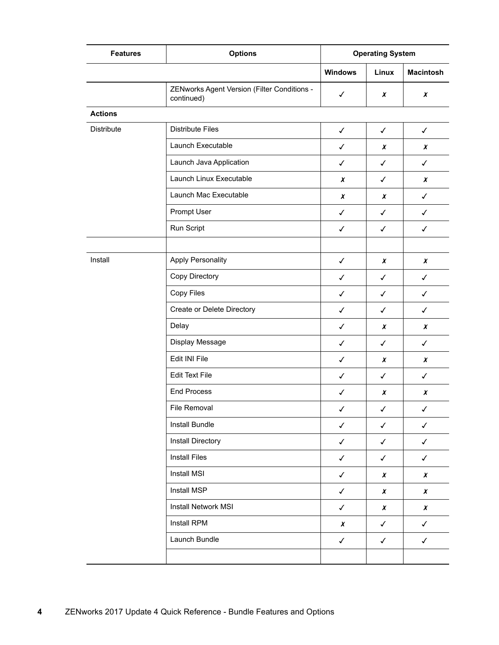| <b>Features</b> | <b>Options</b>                                            | <b>Operating System</b> |              |                  |
|-----------------|-----------------------------------------------------------|-------------------------|--------------|------------------|
|                 |                                                           | <b>Windows</b>          | Linux        | <b>Macintosh</b> |
|                 | ZENworks Agent Version (Filter Conditions -<br>continued) | $\checkmark$            | X            | $\boldsymbol{x}$ |
| <b>Actions</b>  |                                                           |                         |              |                  |
| Distribute      | <b>Distribute Files</b>                                   | $\checkmark$            | $\checkmark$ | $\checkmark$     |
|                 | Launch Executable                                         | $\checkmark$            | X            | X                |
|                 | Launch Java Application                                   | $\checkmark$            | $\checkmark$ | $\checkmark$     |
|                 | Launch Linux Executable                                   | $\pmb{\chi}$            | $\checkmark$ | $\pmb{\chi}$     |
|                 | Launch Mac Executable                                     | X                       | X            | $\checkmark$     |
|                 | Prompt User                                               | $\checkmark$            | $\checkmark$ | $\checkmark$     |
|                 | Run Script                                                | $\checkmark$            | $\checkmark$ | $\checkmark$     |
|                 |                                                           |                         |              |                  |
| Install         | <b>Apply Personality</b>                                  | $\checkmark$            | X            | X                |
|                 | Copy Directory                                            | $\checkmark$            | $\checkmark$ | $\checkmark$     |
|                 | Copy Files                                                | $\checkmark$            | ✓            | ✓                |
|                 | Create or Delete Directory                                | $\checkmark$            | $\checkmark$ | $\checkmark$     |
|                 | Delay                                                     | $\checkmark$            | X            | X                |
|                 | Display Message                                           | $\checkmark$            | $\checkmark$ | $\checkmark$     |
|                 | Edit INI File                                             | $\checkmark$            | X            | $\boldsymbol{x}$ |
|                 | <b>Edit Text File</b>                                     | $\checkmark$            | $\checkmark$ | $\checkmark$     |
|                 | <b>End Process</b>                                        | $\checkmark$            | X            | $\boldsymbol{x}$ |
|                 | File Removal                                              | $\checkmark$            | $\checkmark$ | $\checkmark$     |
|                 | Install Bundle                                            | $\checkmark$            | $\checkmark$ | $\checkmark$     |
|                 | Install Directory                                         | $\checkmark$            | $\checkmark$ | $\checkmark$     |
|                 | <b>Install Files</b>                                      | $\checkmark$            | $\checkmark$ | $\checkmark$     |
|                 | Install MSI                                               | $\checkmark$            | X            | X                |
|                 | Install MSP                                               | $\checkmark$            | $\pmb{\chi}$ | $\pmb{\chi}$     |
|                 | <b>Install Network MSI</b>                                | $\checkmark$            | $\pmb{\chi}$ | $\pmb{\chi}$     |
|                 | Install RPM                                               | $\boldsymbol{x}$        | $\checkmark$ | $\checkmark$     |
|                 | Launch Bundle                                             | $\checkmark$            | $\checkmark$ | $\checkmark$     |
|                 |                                                           |                         |              |                  |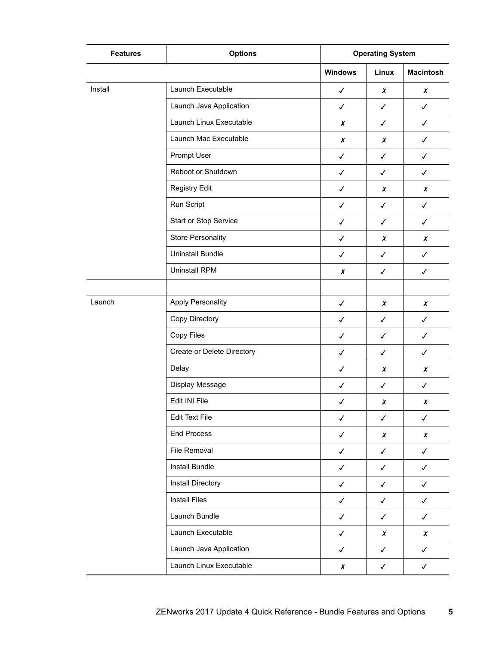| <b>Features</b> | <b>Options</b>             | <b>Operating System</b> |                  |                  |
|-----------------|----------------------------|-------------------------|------------------|------------------|
|                 |                            | <b>Windows</b>          | Linux            | <b>Macintosh</b> |
| Install         | Launch Executable          | $\checkmark$            | X                | $\boldsymbol{x}$ |
|                 | Launch Java Application    | $\checkmark$            | $\checkmark$     | $\checkmark$     |
|                 | Launch Linux Executable    | X                       | $\checkmark$     | $\checkmark$     |
|                 | Launch Mac Executable      | $\boldsymbol{x}$        | $\chi$           | $\checkmark$     |
|                 | Prompt User                | $\checkmark$            | $\checkmark$     | ✓                |
|                 | Reboot or Shutdown         | $\checkmark$            | $\checkmark$     | ✓                |
|                 | <b>Registry Edit</b>       | $\checkmark$            | X                | $\boldsymbol{x}$ |
|                 | Run Script                 | $\checkmark$            | $\checkmark$     | $\checkmark$     |
|                 | Start or Stop Service      | $\checkmark$            | ✓                | $\checkmark$     |
|                 | <b>Store Personality</b>   | $\checkmark$            | x                | $\boldsymbol{x}$ |
|                 | <b>Uninstall Bundle</b>    | $\checkmark$            | $\checkmark$     | $\checkmark$     |
|                 | <b>Uninstall RPM</b>       | X                       | ✓                | $\checkmark$     |
|                 |                            |                         |                  |                  |
| Launch          | <b>Apply Personality</b>   | $\checkmark$            | X                | X                |
|                 | Copy Directory             | $\checkmark$            | ✓                | $\checkmark$     |
|                 | Copy Files                 | $\checkmark$            | $\checkmark$     | $\checkmark$     |
|                 | Create or Delete Directory | $\checkmark$            | $\checkmark$     | $\checkmark$     |
|                 | Delay                      | $\checkmark$            | x                | x                |
|                 | Display Message            | $\checkmark$            | $\checkmark$     | $\checkmark$     |
|                 | Edit INI File              | $\checkmark$            | X                | X                |
|                 | <b>Edit Text File</b>      | $\checkmark$            | $\checkmark$     | $\checkmark$     |
|                 | <b>End Process</b>         | $\checkmark$            | X                | X                |
|                 | File Removal               | $\checkmark$            | $\checkmark$     | $\checkmark$     |
|                 | Install Bundle             | $\checkmark$            | $\checkmark$     | $\checkmark$     |
|                 | Install Directory          | $\checkmark$            | $\checkmark$     | $\checkmark$     |
|                 | <b>Install Files</b>       | $\checkmark$            | $\checkmark$     | $\checkmark$     |
|                 | Launch Bundle              | $\checkmark$            | $\checkmark$     | $\checkmark$     |
|                 | Launch Executable          | $\checkmark$            | $\boldsymbol{x}$ | X                |
|                 | Launch Java Application    | $\checkmark$            | $\checkmark$     | $\checkmark$     |
|                 | Launch Linux Executable    | $\boldsymbol{x}$        | $\checkmark$     | $\checkmark$     |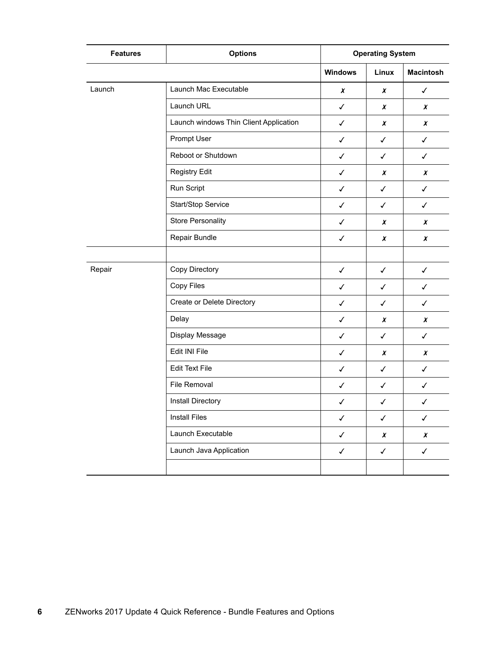| <b>Features</b> | <b>Options</b>                         | <b>Operating System</b> |                  |                  |
|-----------------|----------------------------------------|-------------------------|------------------|------------------|
|                 |                                        | <b>Windows</b>          | Linux            | <b>Macintosh</b> |
| Launch          | Launch Mac Executable                  | $\boldsymbol{x}$        | $\boldsymbol{x}$ | $\checkmark$     |
|                 | Launch URL                             | $\checkmark$            | $\boldsymbol{x}$ | X                |
|                 | Launch windows Thin Client Application | $\checkmark$            | X                | X                |
|                 | Prompt User                            | $\checkmark$            | $\checkmark$     | $\checkmark$     |
|                 | Reboot or Shutdown                     | $\checkmark$            | $\checkmark$     | $\checkmark$     |
|                 | <b>Registry Edit</b>                   | $\checkmark$            | X                | $\boldsymbol{x}$ |
|                 | Run Script                             | $\checkmark$            | $\checkmark$     | $\checkmark$     |
|                 | Start/Stop Service                     | $\checkmark$            | $\checkmark$     | $\checkmark$     |
|                 | <b>Store Personality</b>               | $\checkmark$            | X                | X                |
|                 | Repair Bundle                          | $\checkmark$            | $\boldsymbol{x}$ | X                |
|                 |                                        |                         |                  |                  |
| Repair          | Copy Directory                         | $\checkmark$            | $\checkmark$     | $\checkmark$     |
|                 | Copy Files                             | $\checkmark$            | $\checkmark$     | $\checkmark$     |
|                 | Create or Delete Directory             | $\checkmark$            | $\checkmark$     | $\checkmark$     |
|                 | Delay                                  | $\checkmark$            | X                | X                |
|                 | Display Message                        | $\checkmark$            | $\checkmark$     | $\checkmark$     |
|                 | Edit INI File                          | ✓                       | X                | X                |
|                 | <b>Edit Text File</b>                  | $\checkmark$            | $\checkmark$     | $\checkmark$     |
|                 | File Removal                           | $\checkmark$            | $\checkmark$     | $\checkmark$     |
|                 | Install Directory                      | ✓                       | ✓                | $\checkmark$     |
|                 | <b>Install Files</b>                   | $\checkmark$            | $\checkmark$     | $\checkmark$     |
|                 | Launch Executable                      | $\checkmark$            | $\pmb{\chi}$     | $\pmb{\chi}$     |
|                 | Launch Java Application                | $\checkmark$            | $\checkmark$     | $\checkmark$     |
|                 |                                        |                         |                  |                  |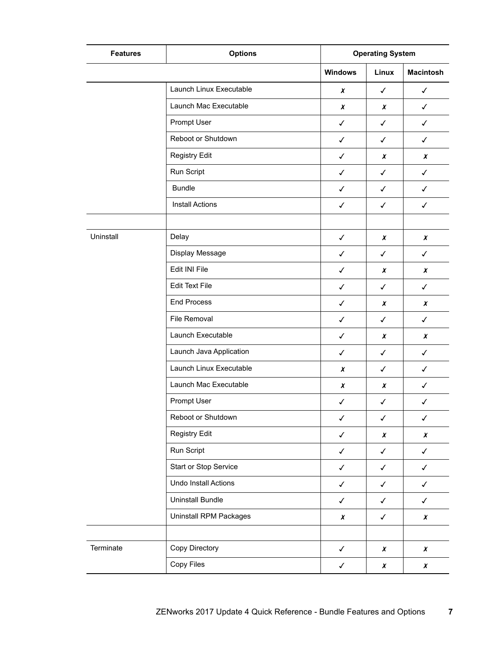| <b>Features</b> | <b>Options</b>          | <b>Operating System</b> |                  |                  |
|-----------------|-------------------------|-------------------------|------------------|------------------|
|                 |                         | <b>Windows</b>          | Linux            | <b>Macintosh</b> |
|                 | Launch Linux Executable | $\pmb{\chi}$            | $\checkmark$     | $\checkmark$     |
|                 | Launch Mac Executable   | $\pmb{\chi}$            | X                | $\checkmark$     |
|                 | Prompt User             | $\checkmark$            | $\checkmark$     | $\checkmark$     |
|                 | Reboot or Shutdown      | $\checkmark$            | $\checkmark$     | $\checkmark$     |
|                 | Registry Edit           | $\checkmark$            | X                | X                |
|                 | Run Script              | $\checkmark$            | $\checkmark$     | $\checkmark$     |
|                 | <b>Bundle</b>           | $\checkmark$            | $\checkmark$     | $\checkmark$     |
|                 | <b>Install Actions</b>  | $\checkmark$            | $\checkmark$     | $\checkmark$     |
|                 |                         |                         |                  |                  |
| Uninstall       | Delay                   | $\checkmark$            | $\chi$           | X                |
|                 | Display Message         | $\checkmark$            | $\checkmark$     | ✓                |
|                 | Edit INI File           | $\checkmark$            | $\chi$           | X                |
|                 | <b>Edit Text File</b>   | $\checkmark$            | $\checkmark$     | $\checkmark$     |
|                 | <b>End Process</b>      | $\checkmark$            | X                | X                |
|                 | File Removal            | $\checkmark$            | $\checkmark$     | $\checkmark$     |
|                 | Launch Executable       | $\checkmark$            | $\boldsymbol{x}$ | X                |
|                 | Launch Java Application | $\checkmark$            | ✓                | $\checkmark$     |
|                 | Launch Linux Executable | $\boldsymbol{x}$        | ✓                | ✓                |
|                 | Launch Mac Executable   | $\pmb{\chi}$            | X                | $\checkmark$     |
|                 | Prompt User             | $\checkmark$            | $\checkmark$     | $\checkmark$     |
|                 | Reboot or Shutdown      | $\checkmark$            | $\checkmark$     | $\checkmark$     |
|                 | <b>Registry Edit</b>    | $\checkmark$            | X                | $\pmb{\chi}$     |
|                 | Run Script              | $\checkmark$            | $\checkmark$     | $\checkmark$     |
|                 | Start or Stop Service   | $\checkmark$            | $\checkmark$     | $\checkmark$     |
|                 | Undo Install Actions    | $\checkmark$            | $\checkmark$     | $\checkmark$     |
|                 | <b>Uninstall Bundle</b> | $\checkmark$            | $\checkmark$     | $\checkmark$     |
|                 | Uninstall RPM Packages  | $\pmb{\chi}$            | $\checkmark$     | $\pmb{\chi}$     |
|                 |                         |                         |                  |                  |
| Terminate       | Copy Directory          | $\checkmark$            | $\pmb{\chi}$     | X                |
|                 | Copy Files              | $\checkmark$            | $\pmb{\chi}$     | $\pmb{\chi}$     |